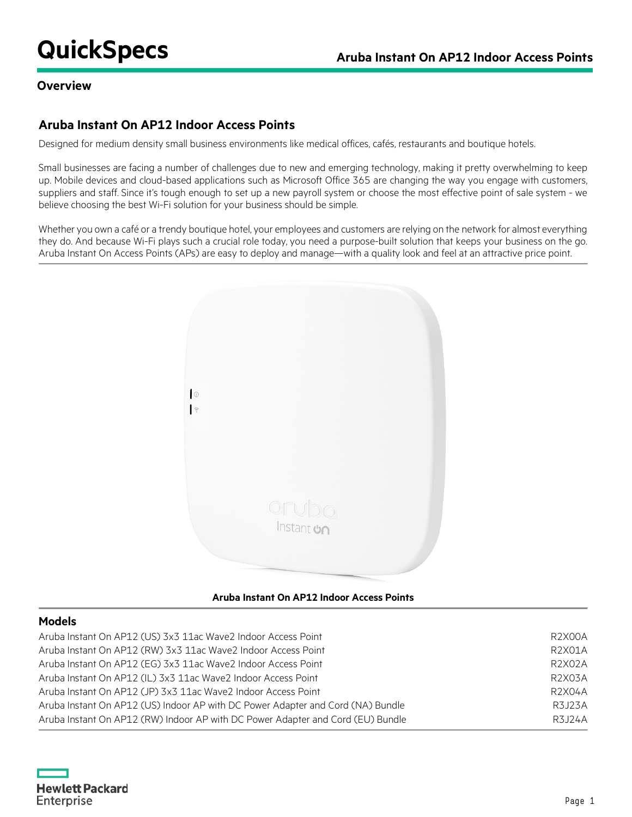## **Overview**

## **Aruba Instant On AP12 Indoor Access Points**

Designed for medium density small business environments like medical offices, cafés, restaurants and boutique hotels.

Small businesses are facing a number of challenges due to new and emerging technology, making it pretty overwhelming to keep up. Mobile devices and cloud-based applications such as Microsoft Office 365 are changing the way you engage with customers, suppliers and staff. Since it's tough enough to set up a new payroll system or choose the most effective point of sale system - we believe choosing the best Wi-Fi solution for your business should be simple.

Whether you own a café or a trendy boutique hotel, your employees and customers are relying on the network for almost everything they do. And because Wi-Fi plays such a crucial role today, you need a purpose-built solution that keeps your business on the go. Aruba Instant On Access Points (APs) are easy to deploy and manage—with a quality look and feel at an attractive price point.



## **Aruba Instant On AP12 Indoor Access Points**

## **Models**

| Aruba Instant On AP12 (US) 3x3 11ac Wave2 Indoor Access Point                   | R2X00A |
|---------------------------------------------------------------------------------|--------|
| Aruba Instant On AP12 (RW) 3x3 11ac Wave2 Indoor Access Point                   | R2X01A |
| Aruba Instant On AP12 (EG) 3x3 11ac Wave2 Indoor Access Point                   | R2X02A |
| Aruba Instant On AP12 (IL) 3x3 11ac Wave2 Indoor Access Point                   | R2X03A |
| Aruba Instant On AP12 (JP) 3x3 11ac Wave2 Indoor Access Point                   | R2X04A |
| Aruba Instant On AP12 (US) Indoor AP with DC Power Adapter and Cord (NA) Bundle | R3J23A |
| Aruba Instant On AP12 (RW) Indoor AP with DC Power Adapter and Cord (EU) Bundle | R3J24A |

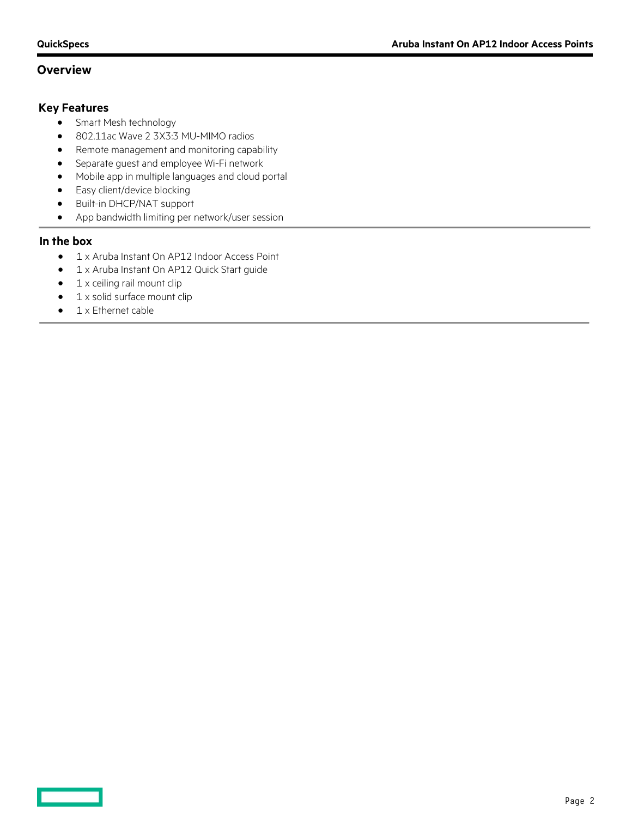## **Overview**

## **Key Features**

- Smart Mesh technology
- 802.11ac Wave 2 3X3:3 MU-MIMO radios
- Remote management and monitoring capability
- Separate guest and employee Wi-Fi network
- Mobile app in multiple languages and cloud portal
- Easy client/device blocking
- Built-in DHCP/NAT support
- App bandwidth limiting per network/user session

## **In the box**

- 1 x Aruba Instant On AP12 Indoor Access Point
- 1 x Aruba Instant On AP12 Quick Start guide
- $\bullet$  1 x ceiling rail mount clip
- 1 x solid surface mount clip
- 1 x Ethernet cable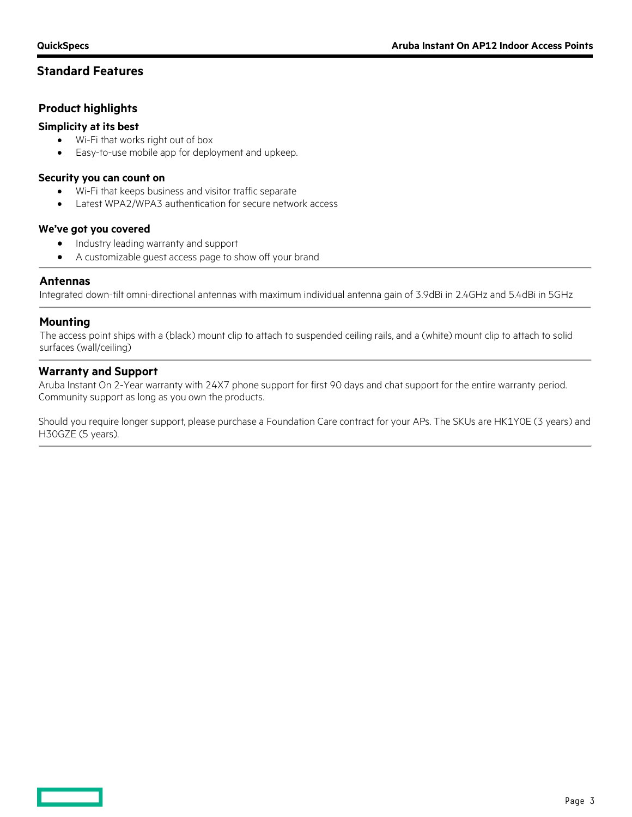## **Standard Features**

## **Product highlights**

## **Simplicity at its best**

- Wi-Fi that works right out of box
- Easy-to-use mobile app for deployment and upkeep.

#### **Security you can count on**

- Wi-Fi that keeps business and visitor traffic separate
- Latest WPA2/WPA3 authentication for secure network access

#### **We've got you covered**

- Industry leading warranty and support
- A customizable guest access page to show off your brand

## **Antennas**

Integrated down-tilt omni-directional antennas with maximum individual antenna gain of 3.9dBi in 2.4GHz and 5.4dBi in 5GHz

## **Mounting**

The access point ships with a (black) mount clip to attach to suspended ceiling rails, and a (white) mount clip to attach to solid surfaces (wall/ceiling)

## **Warranty and Support**

Aruba Instant On 2-Year warranty with 24X7 phone support for first 90 days and chat support for the entire warranty period. Community support as long as you own the products.

Should you require longer support, please purchase a Foundation Care contract for your APs. The SKUs are HK1Y0E (3 years) and H30GZE (5 years).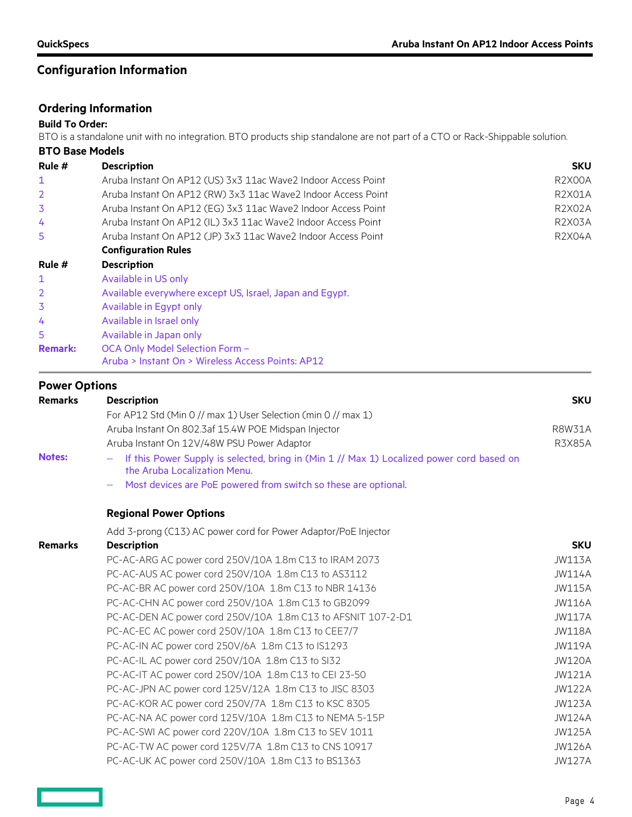# **Configuration Information**

## **Ordering Information**

#### **Build To Order:**

BTO is a standalone unit with no integration. BTO products ship standalone are not part of a CTO or Rack-Shippable solution.

| <b>BTO Base Models</b> |                                                               |                                  |
|------------------------|---------------------------------------------------------------|----------------------------------|
| Rule #                 | <b>Description</b>                                            | <b>SKU</b>                       |
| 1                      | Aruba Instant On AP12 (US) 3x3 11ac Wave2 Indoor Access Point | R <sub>2</sub> X <sub>00</sub> A |
| 2                      | Aruba Instant On AP12 (RW) 3x3 11ac Wave2 Indoor Access Point | <b>R2X01A</b>                    |
| 3                      | Aruba Instant On AP12 (EG) 3x3 11ac Wave2 Indoor Access Point | R2X02A                           |
| 4                      | Aruba Instant On AP12 (IL) 3x3 11ac Wave2 Indoor Access Point | <b>R2X03A</b>                    |
| 5                      | Aruba Instant On AP12 (JP) 3x3 11ac Wave2 Indoor Access Point | R2X04A                           |
|                        | <b>Configuration Rules</b>                                    |                                  |
| Rule #                 | <b>Description</b>                                            |                                  |
| 1                      | Available in US only                                          |                                  |
| 2                      | Available everywhere except US, Israel, Japan and Egypt.      |                                  |
| 3                      | Available in Egypt only                                       |                                  |
| 4                      | Available in Israel only                                      |                                  |
| 5                      | Available in Japan only                                       |                                  |
| <b>Remark:</b>         | OCA Only Model Selection Form -                               |                                  |
|                        | Aruba > Instant On > Wireless Access Points: AP12             |                                  |

## **Power Options**

| <b>Remarks</b> | <b>Description</b>                                                                                                        | <b>SKU</b>    |
|----------------|---------------------------------------------------------------------------------------------------------------------------|---------------|
|                | For AP12 Std (Min 0 // max 1) User Selection (min 0 // max 1)                                                             |               |
|                | Aruba Instant On 802.3af 15.4W POE Midspan Injector                                                                       | <b>R8W31A</b> |
|                | Aruba Instant On 12V/48W PSU Power Adaptor                                                                                | <b>R3X85A</b> |
| <b>Notes:</b>  | If this Power Supply is selected, bring in (Min 1 // Max 1) Localized power cord based on<br>the Aruba Localization Menu. |               |
|                | Most devices are PoE powered from switch so these are optional.                                                           |               |
|                | <b>Regional Power Options</b>                                                                                             |               |
|                | Add 3-prong (C13) AC power cord for Power Adaptor/PoE Injector                                                            |               |
| <b>Remarks</b> | <b>Description</b>                                                                                                        | <b>SKU</b>    |
|                | PC-AC-ARG AC power cord 250V/10A 1.8m C13 to IRAM 2073                                                                    | <b>JW113A</b> |
|                | PC-AC-AUS AC power cord 250V/10A 1.8m C13 to AS3112                                                                       | JW114A        |
|                | PC-AC-BR AC power cord 250V/10A 1.8m C13 to NBR 14136                                                                     | <b>JW115A</b> |
|                | PC-AC-CHN AC power cord 250V/10A 1.8m C13 to GB2099                                                                       | <b>JW116A</b> |
|                | PC-AC-DEN AC power cord 250V/10A 1.8m C13 to AFSNIT 107-2-D1                                                              | <b>JW117A</b> |
|                | PC-AC-EC AC power cord 250V/10A 1.8m C13 to CEE7/7                                                                        | <b>JW118A</b> |
|                | PC-AC-IN AC power cord 250V/6A 1.8m C13 to IS1293                                                                         | <b>JW119A</b> |
|                | PC-AC-IL AC power cord 250V/10A 1.8m C13 to SI32                                                                          | <b>JW120A</b> |
|                | PC-AC-IT AC power cord 250V/10A 1.8m C13 to CEI 23-50                                                                     | <b>JW121A</b> |
|                | PC-AC-JPN AC power cord 125V/12A 1.8m C13 to JISC 8303                                                                    | <b>JW122A</b> |
|                | PC-AC-KOR AC power cord 250V/7A 1.8m C13 to KSC 8305                                                                      | <b>JW123A</b> |
|                | PC-AC-NA AC power cord 125V/10A 1.8m C13 to NEMA 5-15P                                                                    | JW124A        |
|                | PC-AC-SWI AC power cord 220V/10A 1.8m C13 to SEV 1011                                                                     | <b>JW125A</b> |
|                | PC-AC-TW AC power cord 125V/7A 1.8m C13 to CNS 10917                                                                      | <b>JW126A</b> |
|                | PC-AC-UK AC power cord 250V/10A 1.8m C13 to BS1363                                                                        | <b>JW127A</b> |

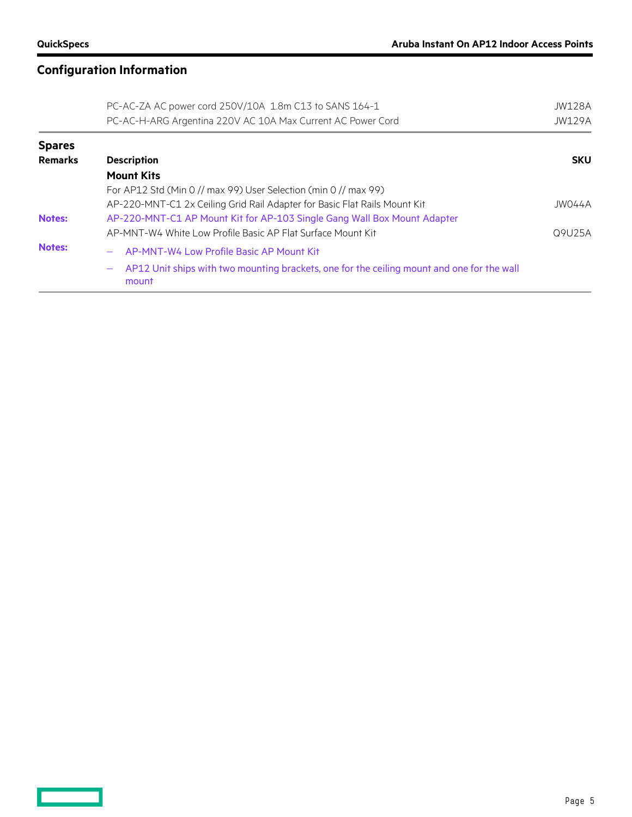$\equiv$   $\equiv$ 

# **Configuration Information**

|                | PC-AC-ZA AC power cord 250V/10A 1.8m C13 to SANS 164-1                                                                          | JW128A        |
|----------------|---------------------------------------------------------------------------------------------------------------------------------|---------------|
|                | PC-AC-H-ARG Argentina 220V AC 10A Max Current AC Power Cord                                                                     | <b>JW129A</b> |
| <b>Spares</b>  |                                                                                                                                 |               |
| <b>Remarks</b> | <b>Description</b>                                                                                                              | <b>SKU</b>    |
|                | <b>Mount Kits</b>                                                                                                               |               |
|                | For AP12 Std (Min 0 // max 99) User Selection (min 0 // max 99)                                                                 |               |
|                | AP-220-MNT-C1 2x Ceiling Grid Rail Adapter for Basic Flat Rails Mount Kit                                                       | JW044A        |
| <b>Notes:</b>  | AP-220-MNT-C1 AP Mount Kit for AP-103 Single Gang Wall Box Mount Adapter                                                        |               |
|                | AP-MNT-W4 White Low Profile Basic AP Flat Surface Mount Kit                                                                     | Q9U25A        |
| <b>Notes:</b>  | AP-MNT-W4 Low Profile Basic AP Mount Kit<br>$\overline{\phantom{a}}$                                                            |               |
|                | AP12 Unit ships with two mounting brackets, one for the ceiling mount and one for the wall<br>$\overline{\phantom{m}}$<br>mount |               |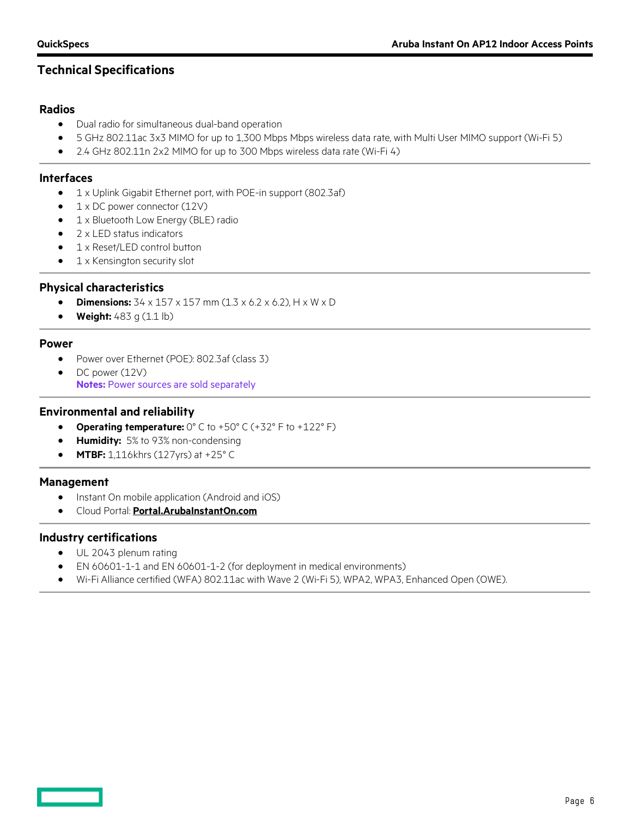## **Technical Specifications**

## **Radios**

- Dual radio for simultaneous dual-band operation
- 5 GHz 802.11ac 3x3 MIMO for up to 1,300 Mbps Mbps wireless data rate, with Multi User MIMO support (Wi-Fi 5)
- 2.4 GHz 802.11n 2x2 MIMO for up to 300 Mbps wireless data rate (Wi-Fi 4)

#### **Interfaces**

- 1 x Uplink Gigabit Ethernet port, with POE-in support (802.3af)
- 1 x DC power connector (12V)
- 1 x Bluetooth Low Energy (BLE) radio
- 2 x LED status indicators
- 1 x Reset/LED control button
- 1 x Kensington security slot

## **Physical characteristics**

- **Dimensions:** 34 x 157 x 157 mm (1.3 x 6.2 x 6.2), H x W x D
- **Weight:** 483 g (1.1 lb)

#### **Power**

- Power over Ethernet (POE): 802.3af (class 3)
- DC power (12V) **Notes:** Power sources are sold separately

## **Environmental and reliability**

- **Operating temperature:** 0° C to +50° C (+32° F to +122° F)
- **Humidity:** 5% to 93% non-condensing
- **MTBF:** 1,116khrs (127yrs) at +25° C

## **Management**

- Instant On mobile application (Android and iOS)
- Cloud Portal: **[Portal.ArubaInstantOn.com](https://www.arubainstanton.com/)**

## **Industry certifications**

- UL 2043 plenum rating
- EN 60601-1-1 and EN 60601-1-2 (for deployment in medical environments)
- Wi-Fi Alliance certified (WFA) 802.11ac with Wave 2 (Wi-Fi 5), WPA2, WPA3, Enhanced Open (OWE).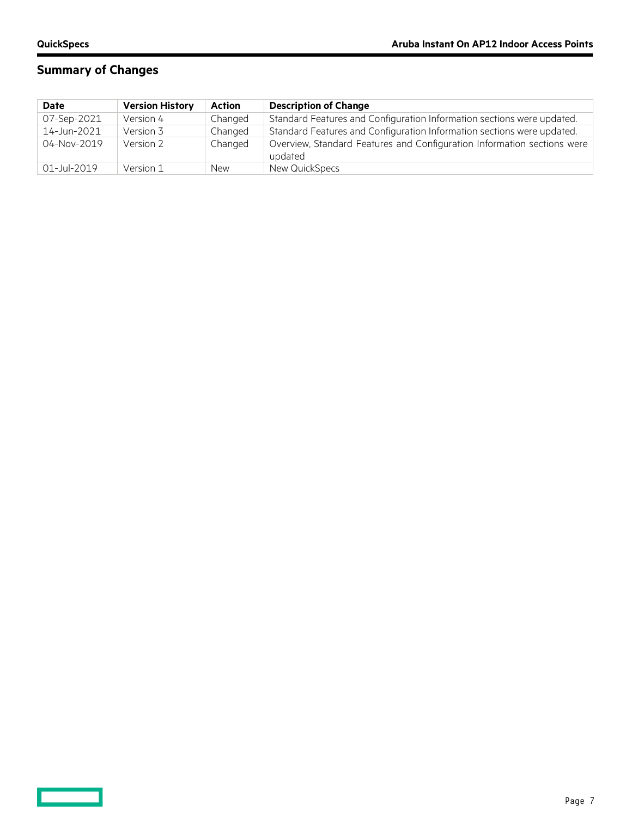$\equiv$   $\equiv$ 

# **Summary of Changes**

| Date        | <b>Version History</b> | <b>Action</b> | <b>Description of Change</b>                                                       |
|-------------|------------------------|---------------|------------------------------------------------------------------------------------|
| 07-Sep-2021 | Version 4              | Changed       | Standard Features and Configuration Information sections were updated.             |
| 14-Jun-2021 | Version 3              | Changed       | Standard Features and Configuration Information sections were updated.             |
| 04-Nov-2019 | Version 2              | Changed       | Overview, Standard Features and Configuration Information sections were<br>updated |
| 01-Jul-2019 | Version 1              | <b>New</b>    | New QuickSpecs                                                                     |